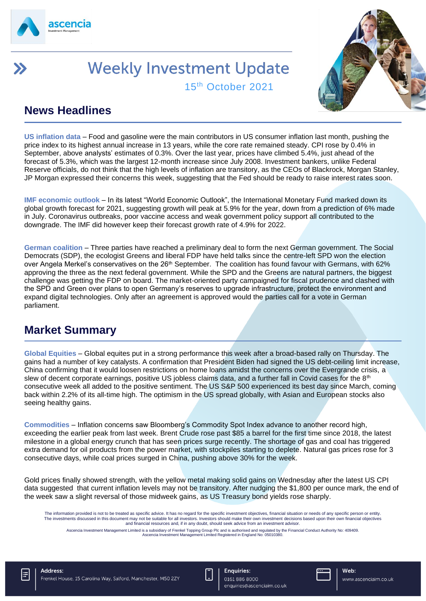

# **Weekly Investment Update** 15th October 2021



### **News Headlines**

**US inflation data** – Food and gasoline were the main contributors in US consumer inflation last month, pushing the price index to its highest annual increase in 13 years, while the core rate remained steady. CPI rose by 0.4% in September, above analysts' estimates of 0.3%. Over the last year, prices have climbed 5.4%, just ahead of the forecast of 5.3%, which was the largest 12-month increase since July 2008. Investment bankers, unlike Federal Reserve officials, do not think that the high levels of inflation are transitory, as the CEOs of Blackrock, Morgan Stanley, JP Morgan expressed their concerns this week, suggesting that the Fed should be ready to raise interest rates soon.

**IMF economic outlook** – In its latest "World Economic Outlook", the International Monetary Fund marked down its global growth forecast for 2021, suggesting growth will peak at 5.9% for the year, down from a prediction of 6% made in July. Coronavirus outbreaks, poor vaccine access and weak government policy support all contributed to the downgrade. The IMF did however keep their forecast growth rate of 4.9% for 2022.

**German coalition** – Three parties have reached a preliminary deal to form the next German government. The Social Democrats (SDP), the ecologist Greens and liberal FDP have held talks since the centre-left SPD won the election over Angela Merkel's conservatives on the 26<sup>th</sup> September. The coalition has found favour with Germans, with 62% approving the three as the next federal government. While the SPD and the Greens are natural partners, the biggest challenge was getting the FDP on board. The market-oriented party campaigned for fiscal prudence and clashed with the SPD and Green over plans to open Germany's reserves to upgrade infrastructure, protect the environment and expand digital technologies. Only after an agreement is approved would the parties call for a vote in German parliament.

#### **Market Summary**

**Global Equities** – Global equites put in a strong performance this week after a broad-based rally on Thursday. The gains had a number of key catalysts. A confirmation that President Biden had signed the US debt-ceiling limit increase, China confirming that it would loosen restrictions on home loans amidst the concerns over the Evergrande crisis, a slew of decent corporate earnings, positive US jobless claims data, and a further fall in Covid cases for the  $8<sup>th</sup>$ consecutive week all added to the positive sentiment. The US S&P 500 experienced its best day since March, coming back within 2.2% of its all-time high. The optimism in the US spread globally, with Asian and European stocks also seeing healthy gains.

**Commodities** – Inflation concerns saw Bloomberg's Commodity Spot Index advance to another record high, exceeding the earlier peak from last week. Brent Crude rose past \$85 a barrel for the first time since 2018, the latest milestone in a global energy crunch that has seen prices surge recently. The shortage of gas and coal has triggered extra demand for oil products from the power market, with stockpiles starting to deplete. Natural gas prices rose for 3 consecutive days, while coal prices surged in China, pushing above 30% for the week.

Gold prices finally showed strength, with the yellow metal making solid gains on Wednesday after the latest US CPI data suggested that current inflation levels may not be transitory. After nudging the \$1,800 per ounce mark, the end of the week saw a slight reversal of those midweek gains, as US Treasury bond yields rose sharply.

The information provided is not to be treated as specific advice. It has no regard for the specific investment objectives, financial situation or needs of any specific person or entity. The investments discussed in this document may not be suitable for all investors. Investors should make their own investment decisions based upon their own financial objectives and financial resources and, if in any doubt, should seek advice from an investment advisor.

.Ascencia Investment Management Limited is a subsidiary of Frenkel Topping Group Plc and is authorised and regulated by the Financial Conduct Authority No: 409409.<br>Ascencia Investment Management Limited Registered in Engla





enquiries@ascenciaim.co.uk